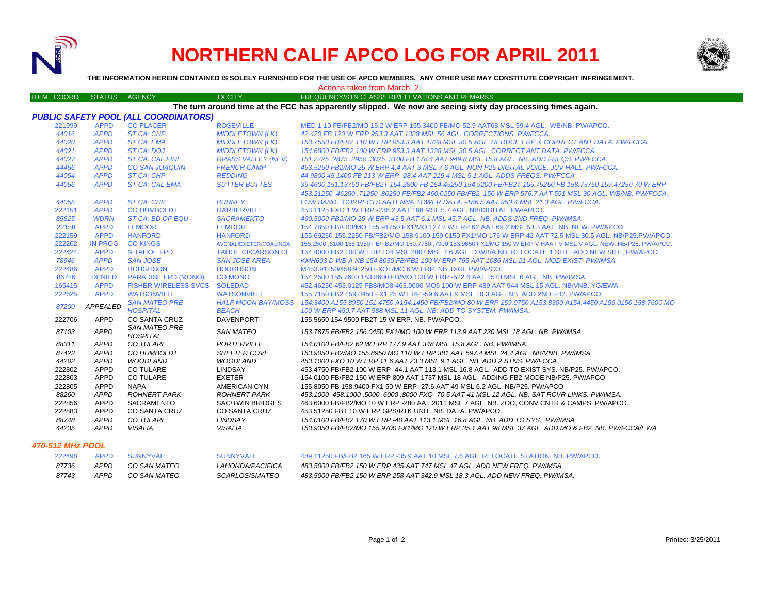

# **NORTHERN CALIF APCO LOG FOR APRIL 2011**



**THE INFORMATION HEREIN CONTAINED IS SOLELY FURNISHED FOR THE USE OF APCO MEMBERS. ANY OTHER USE MAY CONSTITUTE COPYRIGHT INFRINGEMENT.**

Actions taken from March 2.

#### ITEM COORD STATUS AGENCY TX CITY TIREQUENCY/STN CLASS/ERP/ELEVATIONS AND REMARKS **The turn around time at the FCC has apparently slipped. We now are seeing sixty day processing times again.**

| <b>PUBLIC SAFETY POOL (ALL COORDINATORS)</b> |                |                                          |                           |                                                                                                                                |
|----------------------------------------------|----------------|------------------------------------------|---------------------------|--------------------------------------------------------------------------------------------------------------------------------|
| 221999                                       | <b>APPD</b>    | <b>CO PLACER</b>                         | <b>ROSEVILLE</b>          | MED 1-10 FB/FB2/MO 15.2 W ERP 155.3400 FB/MO 52.9 AAT68 MSL 59.4 AGL. WB/NB, PW/APCO,                                          |
| 44016                                        | <b>APPD</b>    | ST CA: CHP                               | <b>MIDDLETOWN (LK)</b>    | 42.420 FB 120 W ERP 953.3 AAT 1328 MSL 56 AGL, CORRECTIONS, PW/FCCA,                                                           |
| 44020                                        | <b>APPD</b>    | <b>ST CA: EMA</b>                        | <b>MIDDLETOWN (LK)</b>    | 153.7550 FB/FB2 110 W ERP 053.3 AAT 1328 MSL 30.5 AGL. REDUCE ERP & CORRECT ANT DATA. PW/FCCA.                                 |
| 44021                                        | <b>APPD</b>    | <b>ST CA: DOJ</b>                        | <b>MIDDLETOWN (LK)</b>    | 154.6800 FB/FB2 100 W ERP 953.3 AAT 1328 MSL 30.5 AGL. CORRECT ANT DATA. PW/FCCA.                                              |
| 44027                                        | <b>APPD</b>    | <b>ST CA: CAL FIRE</b>                   | <b>GRASS VALLEY (NEV)</b> | 151.2725.2875.2950.3025.3100 FB 178.4 AAT 949.8 MSL 15.8 AGL, NB, ADD FREQS, PW/FCCA,                                          |
| 44456                                        | <b>APPD</b>    | <b>CO SAN JOAQUIN</b>                    | <b>FRENCH CAMP</b>        | 453.5250 FB2/MO 25 W ERP 4.4 AAT 3 MSL 7.6 AGL. NON P25 DIGITAL VOICE. JUV HALL. PW/FCCA.                                      |
| 44054                                        | <b>APPD</b>    | <b>ST CA: CHP</b>                        | <b>REDDING</b>            | 44,9800 45,1400 FB 213 W ERP -28.4 AAT 219.4 MSL 9.1 AGL, ADDS FREQS, PW/FCCA                                                  |
| 44056                                        | <b>APPD</b>    | <b>ST CA: CAL EMA</b>                    | <b>SUTTER BUTTES</b>      | 39.4600 151.13750 FB/FB2T 154.2800 FB 154.45250 154.9200 FB/FB2T 155.75250 FB 158.73750 159.47250 70 W ERP                     |
|                                              |                |                                          |                           | 453.21250.46250.71250.86250 FB/FB2 460.0250 FB/FB2 150 W ERP 576.7 AAT 591 MSL 30 AGL. WB/NB, PW/FCCA.                         |
| 44055                                        | <b>APPD</b>    | <b>ST CA: CHP</b>                        | <b>BURNEY</b>             | LOW BAND. CORRECTS ANTENNA TOWER DATA. -186.5 AAT 950.4 MSL 21.3 AGL. PW/FCCA.                                                 |
| 222151                                       | <b>APPD</b>    | <b>CO HUMBOLDT</b>                       | <b>GARBERVILLE</b>        | 453.1125 FXO 1 W ERP - 236.2 AAT 168 MSL 5.7 AGL, NB/DIGITAL, PW/APCO.                                                         |
| 85625                                        | <b>WDRN</b>    | ST CA: BD OF EQU                         | <b>SACRAMENTO</b>         | 460.5000 FB2/MO 25 W ERP 43.5 AAT 6.1 MSL 45.7 AGL. NB. ADDS 2ND FREQ. PW/IMSA.                                                |
| 22158                                        | <b>APPD</b>    | <b>LEMOOR</b>                            | <b>LEMOOR</b>             | 154.7850 FB/FB3/MO 155.91750 FX1/MO 127.7 W ERP 62 AAT 69.2 MSL 53.3 AAT, NB, NEW, PW/APCO,                                    |
| 222159                                       | <b>APPD</b>    | <b>HANFORD</b>                           | <b>HANFORD</b>            | 155.69250 156.2250 FB/FB2/MO 158.9100 159.0150 FX1/MO 176 W ERP 42 AAT 72.5 MSL 30.5 AGL. NB/P25.PW/APCO.                      |
| 222202                                       | <b>IN PROG</b> | <b>CO KINGS</b>                          | AVENAL/EXETER/COALINGA    | 155.2500 ,6100 156.1950 FB/FB2/MO 150.7750 ,7900 153.9650 FX1/MO 150 W ERP V HAAT V MSL V AGL. NEW. NB/P25. PW/APCO.           |
| 222424                                       | <b>APPD</b>    | N TAHOE FPD                              | <b>TAHOE CI/CARSON CI</b> | 154,4000 FB2 100 W ERP 104 MSL 2807 MSL 7.6 AGL, D WB/A NB, RELOCATE 1 SITE, ADD NEW SITE, PW/APCO,                            |
| 78946                                        | <b>APPD</b>    | <b>SAN JOSE</b>                          | <b>SAN JOSE AREA</b>      | KMH603 D WB A NB 154.8050 FB/FB2 100 W ERP 765 AAT 1086 MSL 21 AGL. MOD EXIST. PW/IMSA.                                        |
| 222486                                       | <b>APPD</b>    | <b>HOUGHSON</b>                          | <b>HOUGHSON</b>           | M453.91250/458.91250 FXOT/MO 6 W ERP. NB. DIGI. PW/APCO.                                                                       |
| 86726                                        | <b>DENIED</b>  | <b>PARADISE FPD (MONO)</b>               | <b>CO MONO</b>            | 154,2500 155,7600 153,8600 FB/MO 100 W ERP -522.6 AAT 1573 MSL 6 AGL, NB, PW/IMSA,                                             |
| 165415                                       | <b>APPD</b>    | FISHER WIRELESS SVCS SOLEDAD             |                           | 452.46250 453.0125 FB8/MO8 463.9000 MO6 100 W ERP 489 AAT 944 MSL 15 AGL, NB/VNB, YG/EWA,                                      |
| 222625                                       | <b>APPD</b>    | <b>WATSONVILLE</b>                       | <b>WATSONVILLE</b>        | 155.7150 FB2 159.0450 FX1 25 W ERP -59.6 AAT 9 MSL 18.3 AGL, NB, ADD 2ND FB2, PW/APCO,                                         |
|                                              |                | <b>SAN MATEO PRE-</b>                    |                           | HALF MOON BAY/MOSS 154.3400 A155.8950 151.4750 A154.1450 FB/FB2/MO 80 W ERP 159.0750 A153.8300 A154.4450 A156.0150 158.7600 MO |
| 87200                                        | APPEALED       | <b>HOSPITAL</b>                          | <b>BEACH</b>              | 100 W ERP 450.7 AAT 588 MSL 11 AGL. NB. ADD TO SYSTEM. PW/IMSA.                                                                |
| 222706                                       | APPD           | CO SANTA CRUZ                            | <b>DAVENPORT</b>          | 155.5650 154.9500 FB2T 15 W ERP. NB. PW/APCO.                                                                                  |
| 87103                                        | <b>APPD</b>    | <b>SAN MATEO PRE-</b><br><b>HOSPITAL</b> | <b>SAN MATEO</b>          | 153.7875 FB/FB2 156.0450 FX1/MO 100 W ERP 113.9 AAT 220 MSL 18 AGL. NB. PW/IMSA.                                               |
| 88311                                        | APPD           | CO TULARE                                | PORTERVILLE               | 154.0100 FB/FB2 62 W ERP 177.9 AAT 348 MSL 15.8 AGL. NB. PW/IMSA.                                                              |
| 87422                                        | <b>APPD</b>    | CO HUMBOLDT                              | SHELTER COVE              | 153.9050 FB2/MO 155.8950 MO 110 W ERP 381 AAT 597.4 MSL 24.4 AGL, NB/VNB, PW/IMSA.                                             |
| 44202                                        | <b>APPD</b>    | <b>WOODLAND</b>                          | <b>WOODLAND</b>           | 453.1000 FXO 10 W ERP 11.6 AAT 23.3 MSL 9.1 AGL. NB. ADD 2 STNS. PW/FCCA.                                                      |
| 222802                                       | <b>APPD</b>    | <b>CO TULARE</b>                         | LINDSAY                   | 453.4750 FB/FB2 100 W ERP -44.1 AAT 113.1 MSL 16.8 AGL. ADD TO EXIST SYS. NB/P25. PW/APCO.                                     |
| 222803                                       | <b>APPD</b>    | CO TULARE                                | <b>EXETER</b>             | 154,0100 FB/FB2 150 W ERP 809 AAT 1737 MSL 18 AGL. ADDING FB2 MODE NB/P25, PW/APCO                                             |
| 222805                                       | <b>APPD</b>    | <b>NAPA</b>                              | AMERICAN CYN              | 155,8050 FB 158,9400 FX1 50 W ERP -27.6 AAT 49 MSL 6.2 AGL, NB/P25, PW/APCO                                                    |
| 88260                                        | <b>APPD</b>    | <b>ROHNERT PARK</b>                      | <b>ROHNERT PARK</b>       | 453.1000 458.1000 .5000 .6000 .8000 FXO -70.5 AAT 41 MSL 12 AGL. NB. SAT RCVR LINKS. PW/IMSA.                                  |
| 222856                                       | APPD           | <b>SACRAMENTO</b>                        | <b>SAC/TWIN BRIDGES</b>   | 463,6000 FB/FB2/MO 10 W ERP -280 AAT 2011 MSL 7 AGL, NB, ZOO, CONV CNTR & CAMPS, PW/APCO,                                      |
| 222883                                       | APPD           | <b>CO SANTA CRUZ</b>                     | CO SANTA CRUZ             | 453.51250 FBT 10 W ERP GPS/RTK UNIT, NB, DATA, PW/APCO,                                                                        |
| 88748                                        | <b>APPD</b>    | <b>CO TULARE</b>                         | LINDSAY                   | 154.0100 FB/FB2 170 W ERP -40 AAT 113.1 MSL 16.8 AGL. NB. ADD TO SYS. PW/IMSA                                                  |
| 44235                                        | <b>APPD</b>    | <b>VISALIA</b>                           | <b>VISALIA</b>            | 153.9350 FB/FB2/MO 155.9700 FX1/MO 120 W ERP 35.1 AAT 98 MSL 37 AGL. ADD MO & FB2, NB. PW/FCCA/EWA                             |
| <b>470-512 MHz POOL</b>                      |                |                                          |                           |                                                                                                                                |

| 222498 |      | APPD SUNNYVALE | SUNNYVALE               | 489.11250 FB/FB2 165 W ERP -35.9 AAT 10 MSL 7.6 AGL. RELOCATE STATION, NB, PW/APCO, |
|--------|------|----------------|-------------------------|-------------------------------------------------------------------------------------|
| 87736  | APPD | CO SAN MATEO   | <i>LAHONDA/PACIFICA</i> | 483.5000 FB/FB2 150 W ERP 435 AAT 747 MSL 47 AGL. ADD NEW FREO, PW/IMSA.            |
| 87743  | APPD | CO SAN MATEO   | <i>SCARLOS/SMATEO</i>   | 483.5000 FB/FB2 150 W ERP 258 AAT 342.9 MSL 18.3 AGL. ADD NEW FREQ. PW/IMSA.        |